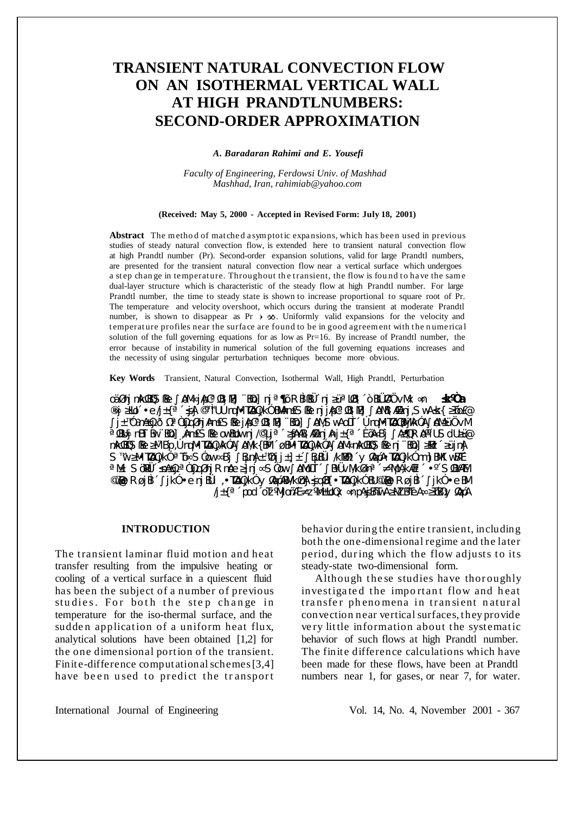# **TRANSIENT NATURAL CONVECTION FLOW** ON AN ISOTHERMAL VERTICAL WALL **AT HIGH PRANDTLNUMBERS: SECOND-ORDER APPROXIMATION**

A. Baradaran Rahimi and E. Yousefi

Faculty of Engineering, Ferdowsi Univ. of Mashhad Mashhad, Iran, rahimiab@yahoo.com

#### (Received: May 5, 2000 - Accepted in Revised Form: July 18, 2001)

**Abstract** The method of matched a symptotic expansions, which has been used in previous studies of steady natural convection flow, is extended here to transient natural convection flow at high Prandtl number (Pr). Second-order expansion solutions, valid for large Prandtl numbers, are presented for the transient natural convection flow near a vertical surface which undergoes a step change in temperature. Throughout the transient, the flow is found to have the same dual-layer structure which is characteristic of the steady flow at high Prandtl number. For large Prandtl number, the time to steady state is shown to increase proportional to square root of Pr. The temperature and velocity overshoot, which occurs during the transient at moderate Prandtl number, is shown to disappear as  $Pr \rightarrow \infty$ . Uniformly valid expansions for the velocity and temperature profiles near the surface are found to be in good agreement with the numerical solution of the full governing equations for as low as Pr=16. By increase of Prandtl number, the error because of instability in numerical solution of the full governing equations increases and the necessity of using singular perturbation techniques become more obvious.

Key Words Transient, Natural Convection, Isothermal Wall, High Prandtl, Perturbation

oŠīnj nkWS\$e <sup>o</sup> bM° jłpC»}\B]¬B{b] nj »¦b RBí\$†« nj <sup>3Ÿ</sup> »lB\« ~Bl†A…vM× °n <sup>2</sup>k‰a "°i <sup>3</sup>lb« ¥e/j±{»« <sup>2</sup>ili ©\?iU ònql\TbQjkî Bl\mf£S\$e njjbC»}\\B] <sup>o</sup> blB\%nj,Swl <sup>2</sup>k{ 3I-o£@ °Í±<sup>a</sup>î ¶nÆYj ð½»ñYjq njAnn£S\$ejApC»W\N]¬BYo] `%M,ŠvA olTí« ònqMFTbOBMjA`îA ~bM<sup>3</sup>Ÿ…vM<br>»WD°j nBTi Bw¬BYo],Ann£S\$e ovBlbw nj/©Yµj»« <sup>3</sup>ÄhAB\%A njAnj±{»« éx|°B«j ~A°¦Q R\bYAIU SdU<sup>3Y@</sup> nlkkOŠ\$e 3M—B«p ,ònqll¥T/bQjlkîA∞blWk{Blb« ; BM¥T/bQjlkîA∞bll®nlkkOS\$enj¬B½] 3lBz« <sup>3ÿ</sup> jnlj S<sup>a</sup>w <sup>3</sup>M¥TbQjkî » $b^{\circ}$  Sîow $^{\circ}$  &j  $^{\circ}$ BµnAj±a`nj j̃±]±« $^{\circ}$ BµB†i /kW%« y ¼q+¥TbQjkî nm]BMKwB¶« »ILi SšIIt« <sup>2</sup>nIty »ñłiq nj Rnbe <sup>3'</sup>]nj ° Siow <sup>3</sup> bilolit« °B'tvIWk °n»« -WipA,kŸ»« ¥¼ S}B'M ©Ÿ@ R¿jBí« °ikî ¥enjB†i ,¥TbQikî y Xq-ABM/knAj ?jqB{¥TbQikî BU©Ÿ@ R¿jBí« °ikî ¥eBM /j±{»«pod«olz\Mjo-\-z\Mi±Uolx °npA?jB-TwA 3MZB) en ° 3T-B1/y 1/q-A

## **INTRODUCTION**

The transient laminar fluid motion and heat transfer resulting from the impulsive heating or cooling of a vertical surface in a quiescent fluid has been the subject of a number of previous studies. For both the step change in temperature for the iso-thermal surface, and the sudden application of a uniform heat flux, analytical solutions have been obtained [1,2] for the one dimensional portion of the transient. Finite-difference computational schemes [3,4] have been used to predict the transport behavior during the entire transient, including both the one-dimensional regime and the later period, during which the flow adjusts to its steady-state two-dimensional form.

Although these studies have thoroughly investigated the important flow and heat transfer phenomena in transient natural convection near vertical surfaces, they provide very little information about the systematic behavior of such flows at high Prandtl number. The finite difference calculations which have been made for these flows, have been at Prandtl numbers near 1, for gases, or near 7, for water.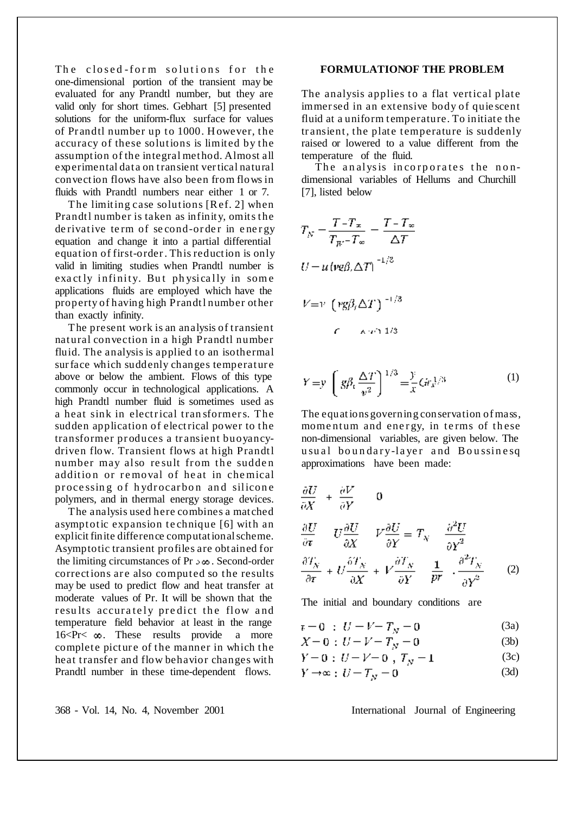The closed-form solutions for the one-dimensional portion of the transient may be evaluated for any Prandtl number, but they are valid only for short times. Gebhart [5] presented solutions for the uniform-flux surface for values of Pr andtl number up to 1000. H owever, the accuracy of these solutions is limited by the assumption of the integral method. Almost all experimental dat a on transient vertical natural convection flows have also been from flows in fluids with Prandtl numbers near either 1 or 7.

The limiting case solutions [Ref. 2] when Prandtl number is taken as infinity, omits the de rivative term of second-order in energy equation and change it into a partial differential equation of first-order. This reduction is only valid in limiting studies when Prandtl number is exactly infinity. But physically in some applications fluids are employed which have the property of having high Prandtl number other than exactly infinity.

The present work is an analysis of transient natural convection in a high Prandtl number fluid. The analysis is applied to an isothermal sur face which suddenly changes temperature above or below the ambient. Flows of this type commonly occur in technological applications. A high Prandtl number fluid is sometimes used as a heat sink in electrical tran sformers. The sudden application of electrical power to the transformer produces a transient buoyancydriven flow. Transient flows at high Prandtl number may also result from the sudden addition or removal of heat in chemical processing of hydrocarbon and silicone polymers, and in thermal energy storage devices.

The analysis used here combines a mat ched asymptotic expansion technique [6] with an explicit finite difference computationalscheme. Asymptotic transient profiles are obt ained for the limiting circumstances of Pr  $\infty$   $\infty$ . Second-order corrections are also computed so the results may be used to predict flow and heat transfer at moderate values of Pr. It will be shown that the results accurately predict the flow and temperature field behavior at least in the range  $16 < P r < \infty$ . These results provide a more complete picture of the manner in which the heat transfer and flow behavior changes with Prandtl number in these time-dependent flows.

# **FORMULATIONOF THE PROBLEM**

The analysis applies to a flat vertical plate immersed in an extensive body of quie scent fluid at a uniform temperature. To initiate the transient, the plate temperature is suddenly raised or lowered to a value different from the temperature of the fluid.

The analysis incorporates the nondimensional variables of Hellums and Churchill [7], listed below

$$
T_N = \frac{T - T_{\infty}}{T_{W} - T_{\infty}} = \frac{T - T_{\infty}}{\Delta T}
$$
  
\n
$$
U = u (v g \beta, \Delta T)^{-1/3}
$$
  
\n
$$
V = v (v g \beta, \Delta T)^{-1/3}
$$

$$
Y = y \left( g\beta_t \frac{\Delta T}{v^2} \right)^{1/3} = \frac{y}{x} G r_x^{1/3}
$$
 (1)

The equations governing conservation ofmass, momentum and energy, in terms of these non-dimensional variables, are given below. The usual boundary-laver and Boussinesq approximations have been made:

$$
\frac{\partial U}{\partial X} + \frac{\partial V}{\partial Y} = 0
$$
  

$$
\frac{\partial U}{\partial \tau} = U \frac{\partial U}{\partial X} + V \frac{\partial U}{\partial Y} = T_N - \frac{\partial^2 U}{\partial Y^2}
$$
  

$$
\frac{\partial T_N}{\partial \tau} + U \frac{\partial T_N}{\partial X} + V \frac{\partial T_N}{\partial Y} = \frac{1}{pr} \cdot \frac{\partial^2 T_N}{\partial Y^2} = (2)
$$

The initial and boundary conditions are

$$
\tau = 0 \; : \; U = V - T_N = 0 \tag{3a}
$$

$$
X = 0 : U = V = T_N = 0
$$
 (3b)

$$
Y = 0 : U - V = 0 , T_N = 1
$$
 (3c)

$$
Y \to \infty \text{ : } U = T_N = 0 \tag{3d}
$$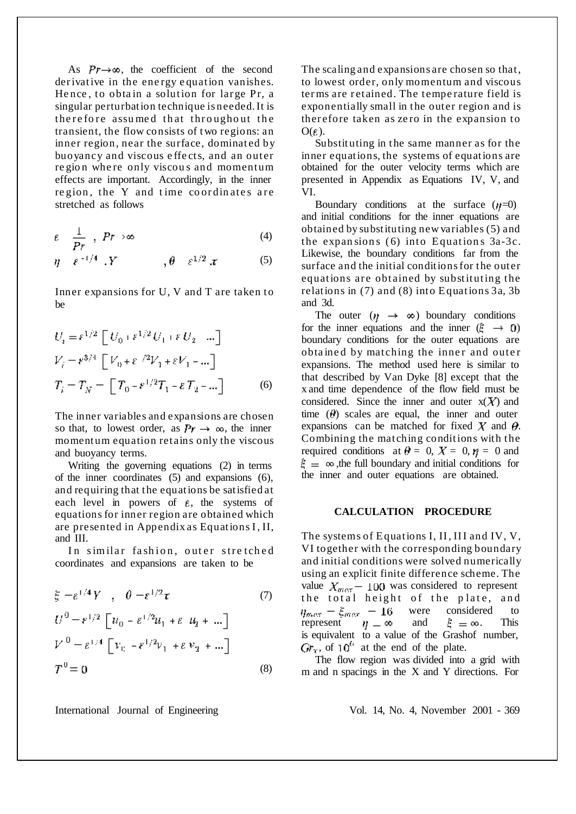As  $Pr \rightarrow \infty$ , the coefficient of the second derivative in the energy equation vanishes. Hence, to obtain a solution for large Pr, a singular perturbation technique is needed.It is therefore assumed that throughout the transient, the flow consists of two regions: an inner region, near the surface, dominated by buoyancy and viscous effects, and an outer region where only viscous and momentum effects are important. Accordingly, in the inner region, the Y and time coordinates are stretched as follows

$$
\varepsilon \quad \frac{1}{Pr} \quad , \quad Pr \rightarrow \infty \tag{4}
$$

$$
\eta = \varepsilon^{-1/4} \cdot Y \qquad \qquad , \theta = \varepsilon^{1/2} \cdot x \qquad (5)
$$

Inner expansions for U, V and T are taken to be

$$
U_i = \varepsilon^{1/2} \left[ U_0 + \varepsilon^{1/2} U_1 + \varepsilon U_2 - \dots \right]
$$
  
\n
$$
V_i = \varepsilon^{3/4} \left[ V_0 + \varepsilon^{-/2} V_1 + \varepsilon V_1 - \dots \right]
$$
  
\n
$$
T_i = T_N = \left[ T_0 - \varepsilon^{1/2} T_1 - \varepsilon T_2 - \dots \right]
$$
 (6)

The inner variables and expansions are chosen so that, to lowest order, as  $Pr \rightarrow \infty$ , the inner momentum equation ret ains only the viscous and buoyancy terms.

Writing the governing equations (2) in terms of the inner coordinates (5) and expansions (6), and requiring that the equations be satisfied at each level in powers of  $\varepsilon$ , the systems of equations for inner region are obtained which are presented in Appendix as Equations I, II, and III.

In similar fashion, outer stretched coordinates and expansions are taken to be

$$
\xi = \varepsilon^{1/4} Y \quad , \quad \theta = \varepsilon^{1/2} \tau \tag{7}
$$
\n
$$
U^0 = \varepsilon^{1/2} \left[ u_0 - \varepsilon^{1/2} u_1 + \varepsilon u_2 + \dots \right]
$$
\n
$$
V^0 = \varepsilon^{1/4} \left[ v_0 - \varepsilon^{1/2} v_1 + \varepsilon v_2 + \dots \right]
$$
\n
$$
T^0 = 0 \tag{8}
$$

The scaling and expansions are chosen so that, to lowest order, only momentum and viscous terms are retained. The temperature field is exponentially small in the outer region and is ther efore taken as ze ro in the expansion to  $O(\varepsilon)$ .

Substituting in the same manner as for the inner equations, the systems of equations are obtained for the outer velocity terms which are presented in Appendix as Equations IV, V, and VI.

Boundary conditions at the surface  $(\eta=0)$ and initial conditions for the inner equations are obtained by substituting new variables (5) and the expansions  $(6)$  into Equations  $3a-3c$ . Likewise, the boundary conditions far from the surface and the initial conditions for the outer equations are obtained by substituting the relations in (7) and (8) into Equations 3a, 3b and 3d.

The outer  $(\eta \rightarrow \infty)$  boundary conditions for the inner equations and the inner  $(\xi \rightarrow 0)$ boundary conditions for the outer equations are obtained by matching the inner and outer expansions. The method used here is similar to that described by Van Dyke [8] except that the x and time dependence of the flow field must be considered. Since the inner and outer  $x(X)$  and time  $(\theta)$  scales are equal, the inner and outer expansions can be matched for fixed  $X$  and  $\theta$ . Combining the matching conditions with the required conditions at  $\theta = 0$ ,  $X = 0$ ,  $\eta = 0$  and  $\hat{\mathcal{E}} = \infty$ , the full boundary and initial conditions for the inner and outer equations are obtained.

# **CALCULATION PROCEDURE**

The systems of Equations I, II, III and IV, V, VI together with the corresponding boundary and initial conditions were solved numerically using an explicit finite difference scheme. The value  $X_{max}$  – 100 was considered to represent the total height of the plate, and  $\eta_{max} = \xi_{max} = 16$ were considered to represent  $\eta = \infty$  and  $\xi = \infty$ . This is equivalent to a value of the Grashof number,  $GF<sub>x</sub>$ , of 10<sup>6</sup> at the end of the plate.

The flow region was divided into a grid with m and n spacings in the X and Y directions. For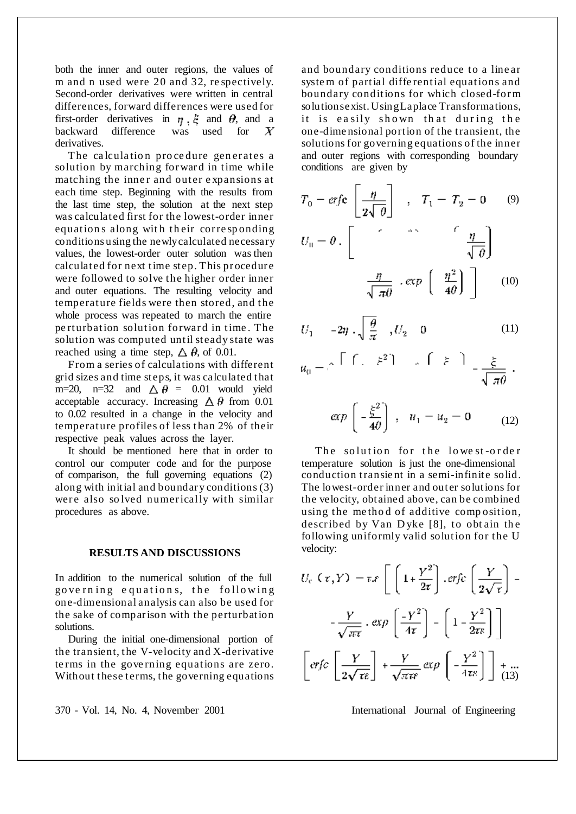both the inner and outer regions, the values of m and n used were 20 and 32, re spectively. Second-order derivatives were written in central differences, forward differences were used for first-order derivatives in  $\eta$ ,  $\xi$  and  $\theta$ , and a backward difference was used for X derivatives.

The calculation procedure generates a solution by marching forward in time while matching the inner and outer expansions at each time step. Beginning with the results from the last time step, the solution at the next step was calculated first for the lowest-order inner equations along with their corresponding conditions using the newlycalculated necessary values, the lowest-order outer solution was then calculated for next time step. This procedure were followed to solve the higher order inner and outer equations. The resulting velocity and temperature fields were then stored, and the whole process was repeated to march the entire perturbation solution forward in time. The solution was computed until steady state was reached using a time step,  $\Delta \theta$ , of 0.01.

From a series of calculations with different grid sizes and time st eps, it was calculated that m=20, n=32 and  $\triangle \theta = 0.01$  would yield acceptable accuracy. Increasing  $\Delta \theta$  from 0.01 to 0.02 resulted in a change in the velocity and temperature profiles of less than 2% of their respective peak values across the layer.

It should be mentioned here that in order to control our computer code and for the purpose of comparison, the full governing equations (2) along with initial and boundar y conditions (3) were also solved numerically with similar procedures as above.

## **RESULTS AND DISCUSSIONS**

In addition to the numerical solution of the full governing equations, the following one-dimensional analysis can also be used for the sake of comparison with the perturbation solutions.

During the initial one-dimensional portion of the transient, the V-velocity and X-derivative te rms in the gove rning equations are zero. Without these terms, the governing equations

and boundary conditions reduce to a line ar syste m of partial diffe rential equations and boundary conditions for which closed-form solutionsexist. UsingLaplace Transformations, it is easily shown that during the one-dime nsional portion of the transient, the solutions for governing equations of the inner and outer regions with corresponding boundary conditions are given by

$$
T_0 = erfc\left[\frac{\eta}{2\sqrt{\theta}}\right], \quad T_1 = T_2 = 0 \quad (9)
$$

$$
U_0 = \theta. \left[\begin{array}{ccc} & & \hat{r} & & \hat{r} \\ & & & \hat{r} & \frac{\eta}{\sqrt{\theta}} \\ & & & & \sqrt{\theta} \end{array}\right]
$$

$$
\frac{\eta}{\sqrt{\pi\theta}} \cdot \exp\left(-\frac{\eta^2}{4\theta}\right) \quad (10)
$$

$$
U_1 = -2\eta \cdot \sqrt{\frac{\theta}{\pi}} , U_2 = 0 \tag{11}
$$

$$
u_0 = e^{-\int [f(z - \xi^2)]} = e^{-\int [f(z - \xi)]} = \frac{\xi}{\sqrt{\pi \theta}}
$$

$$
\exp\left(-\frac{\xi^2}{4\theta}\right) \ , \quad u_1 - u_2 = 0 \qquad (12)
$$

The solution for the lowest-order temperature solution is just the one-dimensional conduction transient in a semi-infinite solid. The lowest-order inner and outer solutions for the velocity, obt ained above, can be combined using the me tho d of additive comp osition, described by Van Dyke [8], to obtain the following uniformly valid solution for the U velocity:

$$
U_c(\tau, Y) = \tau \mathcal{F} \left[ \left( 1 + \frac{Y^2}{2\tau} \right) \cdot \text{erfc} \left( \frac{Y}{2\sqrt{\tau}} \right) - \frac{Y}{\sqrt{\pi \tau}} \cdot \text{exp} \left( \frac{-Y^2}{4\tau} \right) - \left( 1 - \frac{Y^2}{2\tau \varepsilon} \right) \right]
$$

$$
\left[ \text{erfc} \left[ \frac{Y}{2\sqrt{\tau \varepsilon}} \right] + \frac{Y}{\sqrt{\pi \tau \varepsilon}} \text{exp} \left( -\frac{Y^2}{4\tau \varepsilon} \right) \right] + \frac{\pi}{(13)}
$$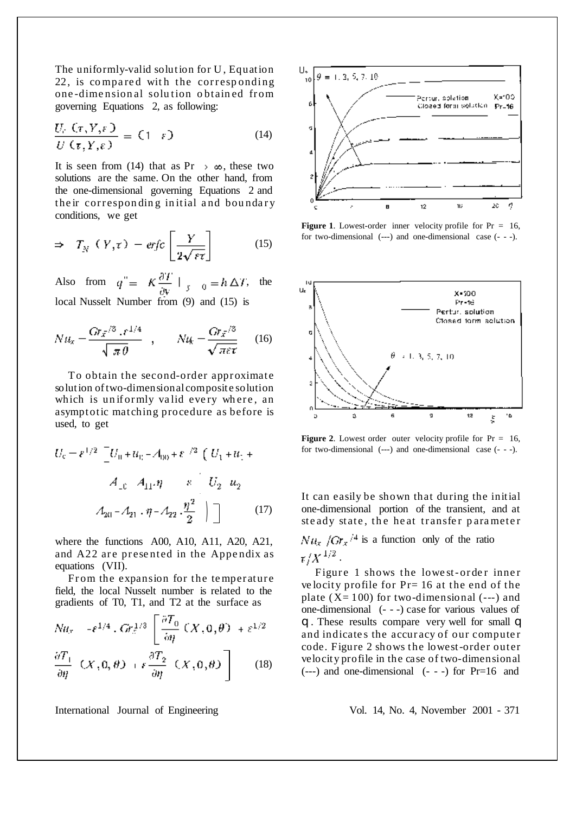The uniformly-valid solution for U , Equation 22, is compared with the corresponding one-dimensional solution obtained from governing Equations 2, as following:

$$
\frac{U_c(G,Y,\varepsilon)}{U(G,Y,\varepsilon)} = (1-\varepsilon) \tag{14}
$$

It is seen from (14) that as Pr  $\rightarrow \infty$ , these two solutions are the same. On the other hand, from the one-dimensional governing Equations 2 and their corresponding initial and boundary conditions, we get

$$
\Rightarrow T_N (Y, \tau) - erfc\left[\frac{Y}{2\sqrt{\varepsilon\tau}}\right] \tag{15}
$$

Also from  $q'' = K \frac{\partial T}{\partial y} \Big|_{y=0} = h \Delta T$ , the local Nusselt Number from (9) and (15) is

$$
N t t_x = \frac{G r_{\bar{x}}^{3/3} \cdot r^{1/4}}{\sqrt{\pi \theta}} , \qquad N t_{\bar{x}} = \frac{G r_{\bar{x}}^{3/3}}{\sqrt{\pi \varepsilon \tau}} \qquad (16)
$$

To obtain the second-order approximate solution of two-dimensional composite solution which is uniformly valid every where, an asymptotic matching procedure as before is used, to get

$$
U_{c} = \varepsilon^{1/2} \left[ U_{0} + u_{0} - A_{00} + \varepsilon^{-/2} \left( U_{1} + u_{1} + \frac{\varepsilon^{2}}{2} \left( U_{2} + u_{2} + \frac{\varepsilon^{2}}{2} \left( U_{1} + u_{2} + \frac{\varepsilon^{2}}{2} \right) \right) \right] \tag{17}
$$

where the functions A00, A10, A11, A20, A21, and A22 are presented in the Appendix as equations (VII).

From the expansion for the temperature field, the local Nusselt number is related to the gradients of T0, T1, and T2 at the surface as

$$
Nu_x = -\varepsilon^{1/4} \cdot Gr_x^{1/3} \left[ \frac{\partial T_0}{\partial \eta} (X, 0, \theta) + \varepsilon^{1/2} \right]
$$

$$
\frac{\partial T_1}{\partial \eta} \left( X, 0, \theta \right) + \epsilon \frac{\partial T_2}{\partial \eta} \left( X, 0, \theta \right) \quad (18)
$$



**Figure 1**. Lowest-order inner velocity profile for Pr = 16, for two-dimensional (---) and one-dimensional case (- - -).



**Figure** 2. Lowest order outer velocity profile for  $Pr = 16$ , for two-dimensional (---) and one-dimensional case (- - -).

It can easily be shown that during the initial one-dimensional portion of the transient, and at ste ady state, the heat transfer parameter

 $Nu_x / Gr_x / 4$  is a function only of the ratio  $\tau/X^{1/2}$  .

Figure 1 shows the lowest-order inner ve locity profile for Pr= 16 at the end of the plate  $(X=100)$  for two-dimensional  $(--)$  and one-dimensional (- - -) case for various values of q . These results compare very well for small q and indicates the accuracy of our computer code. Figure 2 shows the lowest-order outer velocity profile in the case of two-dimensional  $(--)$  and one-dimensional  $(--)$  for  $Pr=16$  and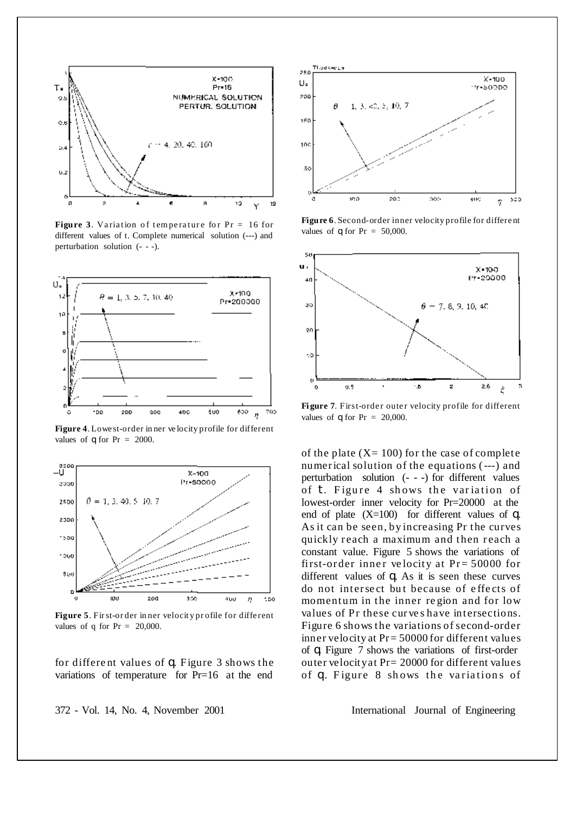

**Figure** 3. Variation of temperature for  $Pr = 16$  for different values of t. Complete numerical solution (---) and perturbation solution (- - -).



**Figure 4**. Lowe st-order in ner ve locity profile for different values of  $\alpha$  for Pr = 2000.



**Figure 5**. First-or der in ner velocit y pr ofile for diffe rent values of q for  $Pr = 20,000$ .

for differe nt values of q. Figure 3 shows the variations of temperature for Pr=16 at the end



**Figure 6**. Second-order inner velocity profile for differe nt values of  $\theta$  for Pr = 50,000.



Figure 7. First-order outer velocity profile for different values of  $\theta$  for Pr = 20,000.

of the plate  $(X=100)$  for the case of complete numerical solution of the equations (---) and perturbation solution (- - -) for different values of  $t$ . Figure 4 shows the variation of lowest-order inner velocity for Pr=20000 at the end of plate  $(X=100)$  for different values of q. As it can be seen, by increasing Pr the curves quickly reach a maximum and then reach a constant value. Figure 5 shows the variations of first-order inner velocity at  $Pr = 50000$  for different values of q. As it is seen these curves do not intersect but because of effects of momentum in the inner re gion and for low values of Pr these curves have intersections. Figure 6 shows the variations of second-order inner velocity at Pr= 50000 for different values of q. Figure 7 shows the variations of first-order outer velocityat Pr= 20000 for different values of q. Figure 8 shows the variations of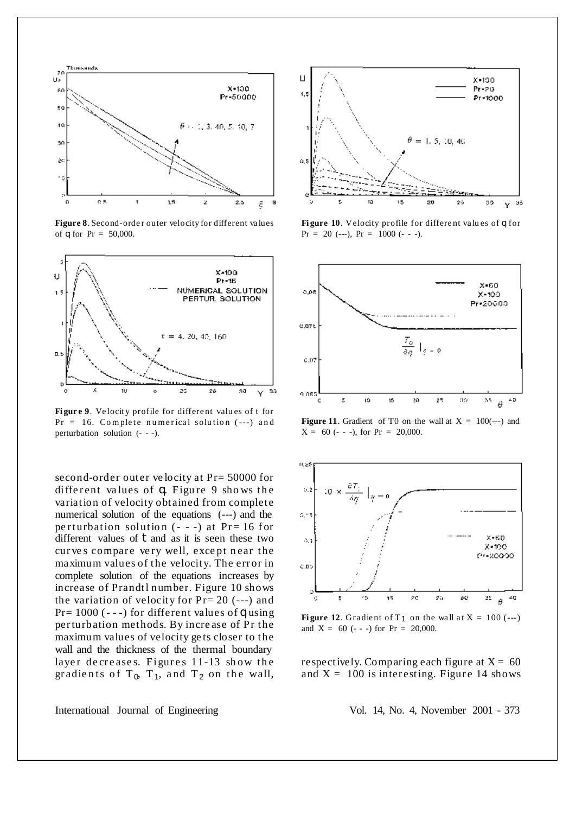

Figure 8. Second-order outer velocity for different values of  $\alpha$  for Pr = 50,000.



**Fi gur e 9**. Ve locit y profile for differe nt valu es of t for  $Pr = 16$ . Complete numerical solution  $(--)$  and perturbation solution (- - -).

second-order outer velocity at  $Pr = 50000$  for different values of  $q$ . Figure 9 shows the variation of velocity obtained from complete numerical solution of the equations (---) and the perturbation solution  $(- - )$  at Pr= 16 for different values of  $\dagger$  and as it is seen these two curves compare very well, except near the maximum values of the velocity. The error in complete solution of the equations increases by increase of Prandtl number. Figure 10 shows the variation of velocity for Pr= 20 (---) and Pr=  $1000$  (---) for different values of q using perturbation methods. By incre ase of Pr the maximum values of velocity ge ts closer to the wall and the thickness of the thermal boundary layer decreases. Figures 11-13 show the gradients of  $T_0$ ,  $T_1$ , and  $T_2$  on the wall,



**Fi gure 10**. Velocity profile for differe nt va lu es of q for  $Pr = 20$  (---),  $Pr = 1000$  (- - -).



**Figure** 11. Gradient of T0 on the wall at  $X = 100$ (---) and  $X = 60$  (- - -), for Pr = 20,000.



**Figure** 12. Gradient of  $T_1$  on the wall at  $X = 100$  (---) and  $X = 60$  (- - -) for  $Pr = 20,000$ .

respectively. Comparing each figure at  $X = 60$ and  $X = 100$  is interesting. Figure 14 shows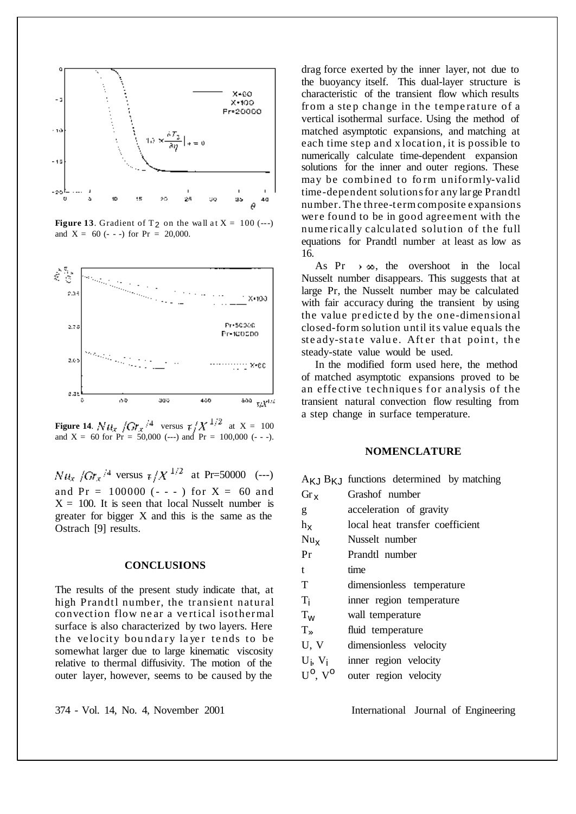

**Figure 13**. Gradient of  $T_2$  on the wall at  $X = 100$  (---) and  $X = 60$  (- - -) for Pr = 20,000.



**Figure 14.**  $N t l_x / G r_x / 4$  versus  $\tau / X^{1/2}$  at  $X = 100$ and  $X = 60$  for  $Pr = 50,000$  (---) and  $Pr = 100,000$  (---).

 $Nu_x / Gr_x / ^4$  versus  $\frac{1}{2} / X^{1/2}$  at Pr=50000 (---) and  $Pr = 100000$  (---) for  $X = 60$  and  $X = 100$ . It is seen that local Nusselt number is greater for bigger X and this is the same as the Ostrach [9] results.

#### **CONCLUSIONS**

The results of the present study indicate that, at high Prandtl number, the transient natural convection flow ne ar a ve rtical isothermal surface is also characterized by two layers. Here the velocity boundary layer tends to be somewhat larger due to large kinematic viscosity relative to thermal diffusivity. The motion of the outer layer, however, seems to be caused by the

drag force exerted by the inner layer, not due to the buoyancy itself. This dual-layer structure is characteristic of the transient flow which results from a step change in the temperature of a vertical isothermal surface. Using the method of matched asymptotic expansions, and matching at each time step and x location, it is possible to numerically calculate time-dependent expansion solutions for the inner and outer regions. These may be combined to form uniformly-valid time-dependent solutionsfor any lar ge Prandtl number. The three-term composite expansions were found to be in good agreement with the nume rically calculated solution of the full equations for Prandtl number at least as low as 16.

As Pr  $\rightarrow \infty$ , the overshoot in the local Nusselt number disappears. This suggests that at large Pr, the Nusselt number may be calculated with fair accuracy during the transient by using the value pr edicte d by the one-dimensional closed-form solution until its value equals the ste ady-state value. After that point, the steady-state value would be used.

In the modified form used here, the method of matched asymptotic expansions proved to be an effective techniques for analysis of the transient natural convection flow resulting from a step change in surface temperature.

#### **NOMENCLATURE**

|                                     | $A_{\mathsf{K},\mathsf{J}} B_{\mathsf{K},\mathsf{J}}$ functions determined by matching |
|-------------------------------------|----------------------------------------------------------------------------------------|
| $Gr_{\chi}$                         | Grashof number                                                                         |
| g                                   | acceleration of gravity                                                                |
| $h_{\mathbf{X}}$                    | local heat transfer coefficient                                                        |
| $Nu_{x}$                            | Nusselt number                                                                         |
| Pr                                  | Prandtl number                                                                         |
| t                                   | time                                                                                   |
| T                                   | dimensionless temperature                                                              |
| Ti                                  | inner region temperature                                                               |
| $T_{w}$                             | wall temperature                                                                       |
| $T \in$                             | fluid temperature                                                                      |
| U, V                                | dimensionless velocity                                                                 |
| $U_i$ , $V_i$                       | inner region velocity                                                                  |
| $U^{\mathsf{O}}$ , $V^{\mathsf{O}}$ | outer region velocity                                                                  |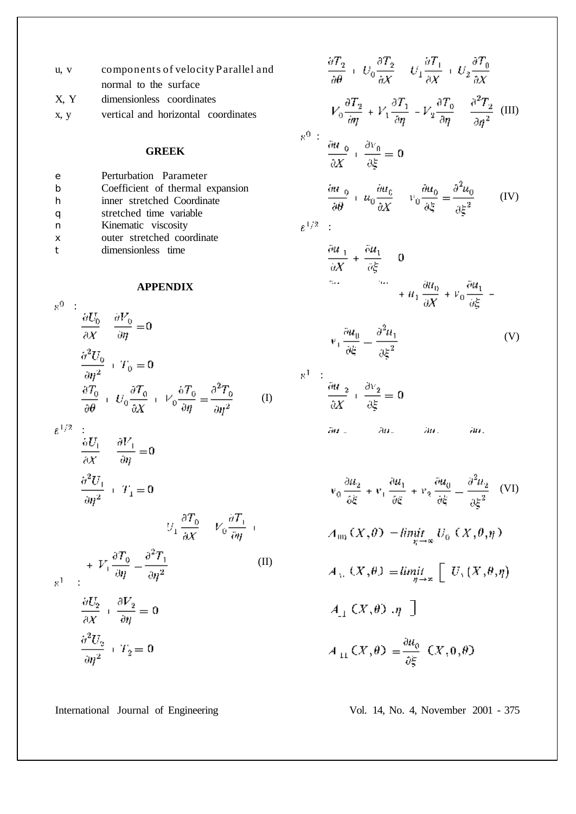| u, v | components of velocity Parallel and |
|------|-------------------------------------|
|      | normal to the surface               |
| X, Y | dimensionless coordinates           |

x, y vertical and horizontal coordinates

# **GREEK**

| e        | Perturbation Parameter           |
|----------|----------------------------------|
|          | Coefficient of thermal expansion |
|          | inner stretched Coordinate       |
|          | stretched time variable          |
| n        | Kinematic viscosity              |
| $\times$ | outer stretched coordinate       |
|          | dimensionless time               |

# **APPENDIX**

$$
\frac{\partial U_0}{\partial X} = \frac{\partial V_0}{\partial \eta} = 0
$$
  

$$
\frac{\partial^2 U_0}{\partial \eta^2} + T_0 = 0
$$
  

$$
\frac{\partial^2 T_0}{\partial \theta} + U_0 \frac{\partial T_0}{\partial X} + V_0 \frac{\partial T_0}{\partial \eta} = \frac{\partial^2 T_0}{\partial \eta^2}
$$
 (I)

 $\varepsilon^{1/2}$  :

$$
\frac{\partial U_1}{\partial X} = \frac{\partial V_1}{\partial \eta} = 0
$$
  

$$
\frac{\partial^2 U_1}{\partial \eta^2} + T_1 = 0
$$
  

$$
U_1 = \frac{\partial T_0}{\partial \eta} + \nu \frac{\partial T_1}{\partial \eta} + \nu \frac{\partial T_1}{\partial \eta} + \nu \frac{\partial T_1}{\partial \eta} + \nu \frac{\partial T_1}{\partial \eta} + \nu \frac{\partial T_1}{\partial \eta} + \nu \frac{\partial T_1}{\partial \eta} + \nu \frac{\partial T_1}{\partial \eta} + \nu \frac{\partial T_1}{\partial \eta} + \nu \frac{\partial T_1}{\partial \eta} + \nu \frac{\partial T_1}{\partial \eta} + \nu \frac{\partial T_1}{\partial \eta} + \nu \frac{\partial T_1}{\partial \eta} + \nu \frac{\partial T_1}{\partial \eta} + \nu \frac{\partial T_1}{\partial \eta} + \nu \frac{\partial T_1}{\partial \eta} + \nu \frac{\partial T_1}{\partial \eta} + \nu \frac{\partial T_1}{\partial \eta} + \nu \frac{\partial T_1}{\partial \eta} + \nu \frac{\partial T_1}{\partial \eta} + \nu \frac{\partial T_1}{\partial \eta} + \nu \frac{\partial T_1}{\partial \eta} + \nu \frac{\partial T_1}{\partial \eta} + \nu \frac{\partial T_1}{\partial \eta} + \nu \frac{\partial T_1}{\partial \eta} + \nu \frac{\partial T_1}{\partial \eta} + \nu \frac{\partial T_1}{\partial \eta} + \nu \frac{\partial T_1}{\partial \eta} + \nu \frac{\partial T_1}{\partial \eta} + \nu \frac{\partial T_1}{\partial \eta} + \nu \frac{\partial T_1}{\partial \eta} + \nu \frac{\partial T_1}{\partial \eta} + \nu \frac{\partial T_1}{\partial \eta} + \nu \frac{\partial T_1}{\partial \eta} + \nu \frac{\partial T_1}{\partial \eta} + \nu \frac{\partial T_1}{\partial \eta} + \nu \frac{\partial T_1}{\partial \eta} + \nu \frac{\partial T_1}{\partial \eta} + \nu \frac{\partial T_1}{\partial \eta} + \nu \frac{\partial T_1}{\partial \eta} + \nu \frac{\partial T_1}{\partial \eta} + \nu \frac{\partial T_1}{\partial \eta} + \nu \frac{\partial T_1}{\partial \eta
$$

$$
V_1 \frac{\partial T_0}{\partial X} = V_0 \frac{\partial T_0}{\partial \eta} + V_1 \frac{\partial T_0}{\partial \eta} = \frac{\partial^2 T_1}{\partial \eta^2}
$$
 (II)

$$
\frac{\partial U_2}{\partial X} + \frac{\partial V_2}{\partial \eta} = 0
$$

$$
\frac{\partial^2 U_2}{\partial \eta^2} + T_2 = 0
$$

$$
\frac{\partial T_2}{\partial \theta} + U_0 \frac{\partial T_2}{\partial X} - U_1 \frac{\partial T_1}{\partial X} + U_2 \frac{\partial T_0}{\partial X}
$$

$$
V_0 \frac{\partial T_2}{\partial \eta} + V_1 \frac{\partial T_1}{\partial \eta} - V_2 \frac{\partial T_0}{\partial \eta} - \frac{\partial^2 T_2}{\partial \eta^2}
$$
(III)
$$
\frac{\partial U_0}{\partial X} + \frac{\partial V_0}{\partial \xi} = 0
$$

$$
\frac{\partial U_0}{\partial \theta} + u_0 \frac{\partial u_0}{\partial X} - v_0 \frac{\partial u_0}{\partial \xi} = \frac{\partial^2 u_0}{\partial \xi^2} \qquad (IV)
$$

$$
\varepsilon^{1/2^-}
$$

:

$$
\frac{\partial u_{1}}{\partial X} + \frac{\partial u_{1}}{\partial \xi} = 0
$$
  

$$
+ u_{1} \frac{\partial u_{0}}{\partial X} + v_{0} \frac{\partial u_{1}}{\partial \xi} =
$$

$$
v_1 \frac{\partial u_0}{\partial \xi} = \frac{\partial^2 u_1}{\partial \xi^2}
$$
 (V)

 $\mathbf{g}^1$  .  $\mathbf{f}$ 

$$
\frac{\partial u_{-2}}{\partial X} + \frac{\partial v_2}{\partial \xi} = 0
$$
\n
$$
\frac{\partial u_{-2}}{\partial x_{-2}} - \frac{\partial u_{-2}}{\partial x_{-2}} - \frac{\partial u_{-2}}{\partial x_{-2}}
$$

$$
-3n\pi\pi\pi\pi
$$

àп.

$$
v_0 \frac{\partial u_2}{\partial \xi} + v_1 \frac{\partial u_1}{\partial \xi} + v_2 \frac{\partial u_0}{\partial \xi} - \frac{\partial^2 u_2}{\partial \xi^2}
$$
 (VI)  
\n
$$
A_{10} (X, \theta) - \lim_{\eta \to \infty} U_0 (X, \theta, \eta)
$$
  
\n
$$
A_{31} (X, \theta) = \lim_{\eta \to \infty} \left[ U_3 (X, \theta, \eta) \right]
$$
  
\n
$$
A_{11} (X, \theta) , \eta \right]
$$
  
\n
$$
A_{11} (X, \theta) = \frac{\partial u_0}{\partial \xi} (X, 0, \theta)
$$

International Journal of Engineering Vol. 14, No. 4, November 2001 - 375